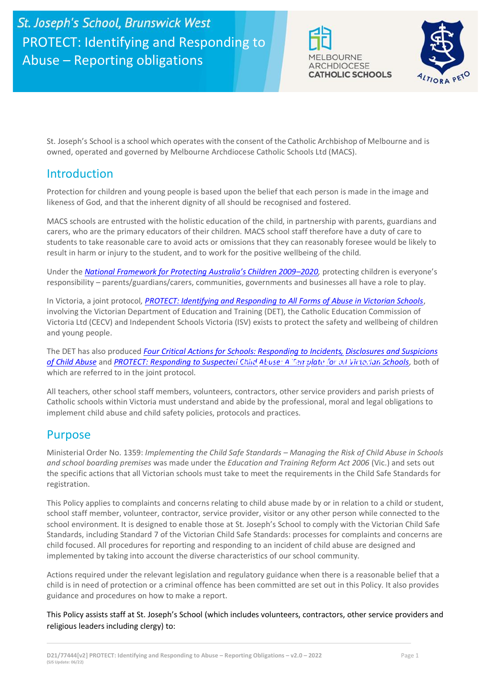



St. Joseph's School is a school which operates with the consent of the Catholic Archbishop of Melbourne and is owned, operated and governed by Melbourne Archdiocese Catholic Schools Ltd (MACS).

# Introduction

Protection for children and young people is based upon the belief that each person is made in the image and likeness of God, and that the inherent dignity of all should be recognised and fostered.

MACS schools are entrusted with the holistic education of the child, in partnership with parents, guardians and carers, who are the primary educators of their children. MACS school staff therefore have a duty of care to students to take reasonable care to avoid acts or omissions that they can reasonably foresee would be likely to result in harm or injury to the student, and to work for the positive wellbeing of the child.

Under the *[National Framework for Protecting Australia's Children 2009–](https://www.dss.gov.au/our-responsibilities/families-and-children/publications-articles/protecting-children-is-everyones-business)202[0,](https://www.dss.gov.au/our-responsibilities/families-and-children/publications-articles/protecting-children-is-everyones-business)* protecting children is everyone's responsibility – parents/guardians/carers, communities, governments and businesses all have a role to play.

In Victoria, a joint protocol*[, PROTECT: Identifying and Responding to All Forms of Abuse in Victorian Schools](http://www.education.vic.gov.au/Documents/about/programs/health/protect/ChildSafeStandard5_SchoolsGuide.pdf)*[,](http://www.education.vic.gov.au/Documents/about/programs/health/protect/ChildSafeStandard5_SchoolsGuide.pdf)  involving the Victorian Department of Education and Training (DET), the Catholic Education Commission of Victoria Ltd (CECV) and Independent Schools Victoria (ISV) exists to protect the safety and wellbeing of children and young people.

and young people.<br>The DET has also produced <u>Four Critical Actions for Schools: Responding to Incidents, Disclosures and Suspicions</u> *[of Child Abuse](http://www.education.vic.gov.au/Documents/about/programs/health/protect/FourCriticalActions_ChildAbuse.pdf)* and *[PROTECT: Responding to Suspected Child Abuse: A Template for all Victorian Schools,](http://www.education.vic.gov.au/Documents/about/programs/health/protect/PROTECT_Responding_TemplateSchools.pdf)* both of Responding to Abuse – which are referred to in the joint protocol.

when are referred to in the joint protocol.<br>All teachers, other school staff members, volunteers, contractors, other service providers and parish priests of Catholic schools within Victoria must understand and abide by the professional, moral and legal obligations to implement child abuse and child safety policies, protocols and practices.

# Purpose

Ministerial Order No. 1359: *Implementing the Child Safe Standards – Managing the Risk of Child Abuse in Schools and school boarding premises* was made under the *Education and Training Reform Act 2006* (Vic.) and sets out the specific actions that all Victorian schools must take to meet the requirements in the Child Safe Standards for registration.

This Policy applies to complaints and concerns relating to child abuse made by or in relation to a child or student, school staff member, volunteer, contractor, service provider, visitor or any other person while connected to the school environment. It is designed to enable those at St. Joseph's School to comply with the Victorian Child Safe Standards, including Standard 7 of the Victorian Child Safe Standards: processes for complaints and concerns are child focused. All procedures for reporting and responding to an incident of child abuse are designed and implemented by taking into account the diverse characteristics of our school community.

Actions required under the relevant legislation and regulatory guidance when there is a reasonable belief that a child is in need of protection or a criminal offence has been committed are set out in this Policy. It also provides guidance and procedures on how to make a report.

This Policy assists staff at St. Joseph's School (which includes volunteers, contractors, other service providers and religious leaders including clergy) to: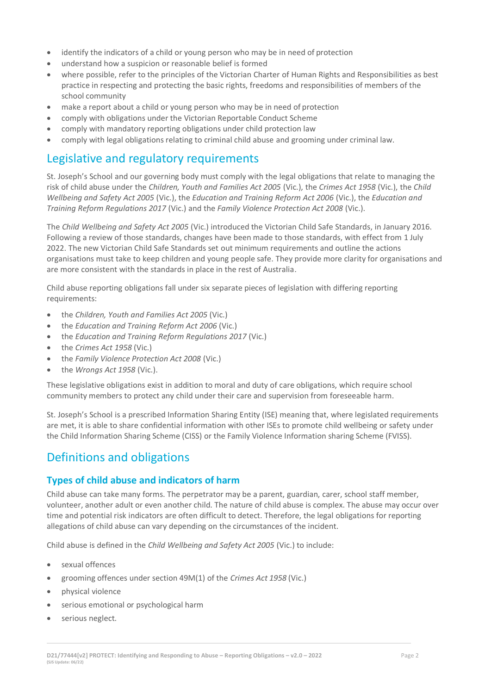- identify the indicators of a child or young person who may be in need of protection
- understand how a suspicion or reasonable belief is formed
- where possible, refer to the principles of the Victorian Charter of Human Rights and Responsibilities as best practice in respecting and protecting the basic rights, freedoms and responsibilities of members of the school community
- make a report about a child or young person who may be in need of protection
- comply with obligations under the Victorian Reportable Conduct Scheme
- comply with mandatory reporting obligations under child protection law
- comply with legal obligations relating to criminal child abuse and grooming under criminal law.

# Legislative and regulatory requirements

St. Joseph's School and our governing body must comply with the legal obligations that relate to managing the risk of child abuse under the *Children, Youth and Families Act 2005* (Vic.), the *Crimes Act 1958* (Vic.), the *Child Wellbeing and Safety Act 2005* (Vic.), the *Education and Training Reform Act 2006* (Vic.), the *Education and Training Reform Regulations 2017* (Vic.) and the *Family Violence Protection Act 2008* (Vic.).

The *Child Wellbeing and Safety Act 2005* (Vic.) introduced the Victorian Child Safe Standards, in January 2016. Following a review of those standards, changes have been made to those standards, with effect from 1 July 2022. The new Victorian Child Safe Standards set out minimum requirements and outline the actions organisations must take to keep children and young people safe. They provide more clarity for organisations and are more consistent with the standards in place in the rest of Australia.

Child abuse reporting obligations fall under six separate pieces of legislation with differing reporting requirements:

- the *Children, Youth and Families Act 2005* (Vic.)
- the *Education and Training Reform Act 2006* (Vic.)
- the *Education and Training Reform Regulations 2017* (Vic.)
- the *Crimes Act 1958* (Vic.)
- the *Family Violence Protection Act 2008* (Vic.)
- the *Wrongs Act 1958* (Vic.).

These legislative obligations exist in addition to moral and duty of care obligations, which require school community members to protect any child under their care and supervision from foreseeable harm.

St. Joseph's School is a prescribed Information Sharing Entity (ISE) meaning that, where legislated requirements are met, it is able to share confidential information with other ISEs to promote child wellbeing or safety under the Child Information Sharing Scheme (CISS) or the Family Violence Information sharing Scheme (FVISS).

# Definitions and obligations

# **Types of child abuse and indicators of harm**

Child abuse can take many forms. The perpetrator may be a parent, guardian, carer, school staff member, volunteer, another adult or even another child. The nature of child abuse is complex. The abuse may occur over time and potential risk indicators are often difficult to detect. Therefore, the legal obligations for reporting allegations of child abuse can vary depending on the circumstances of the incident.

Child abuse is defined in the *Child Wellbeing and Safety Act 2005* (Vic.) to include:

- sexual offences
- grooming offences under section 49M(1) of the *Crimes Act 1958* (Vic.)
- physical violence
- serious emotional or psychological harm
- serious neglect.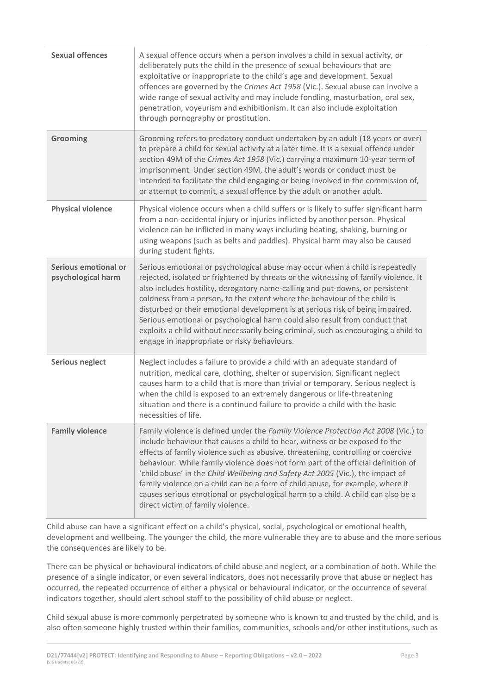| <b>Sexual offences</b>                     | A sexual offence occurs when a person involves a child in sexual activity, or<br>deliberately puts the child in the presence of sexual behaviours that are<br>exploitative or inappropriate to the child's age and development. Sexual<br>offences are governed by the Crimes Act 1958 (Vic.). Sexual abuse can involve a<br>wide range of sexual activity and may include fondling, masturbation, oral sex,<br>penetration, voyeurism and exhibitionism. It can also include exploitation<br>through pornography or prostitution.                                                                                                          |
|--------------------------------------------|---------------------------------------------------------------------------------------------------------------------------------------------------------------------------------------------------------------------------------------------------------------------------------------------------------------------------------------------------------------------------------------------------------------------------------------------------------------------------------------------------------------------------------------------------------------------------------------------------------------------------------------------|
| Grooming                                   | Grooming refers to predatory conduct undertaken by an adult (18 years or over)<br>to prepare a child for sexual activity at a later time. It is a sexual offence under<br>section 49M of the Crimes Act 1958 (Vic.) carrying a maximum 10-year term of<br>imprisonment. Under section 49M, the adult's words or conduct must be<br>intended to facilitate the child engaging or being involved in the commission of,<br>or attempt to commit, a sexual offence by the adult or another adult.                                                                                                                                               |
| <b>Physical violence</b>                   | Physical violence occurs when a child suffers or is likely to suffer significant harm<br>from a non-accidental injury or injuries inflicted by another person. Physical<br>violence can be inflicted in many ways including beating, shaking, burning or<br>using weapons (such as belts and paddles). Physical harm may also be caused<br>during student fights.                                                                                                                                                                                                                                                                           |
| Serious emotional or<br>psychological harm | Serious emotional or psychological abuse may occur when a child is repeatedly<br>rejected, isolated or frightened by threats or the witnessing of family violence. It<br>also includes hostility, derogatory name-calling and put-downs, or persistent<br>coldness from a person, to the extent where the behaviour of the child is<br>disturbed or their emotional development is at serious risk of being impaired.<br>Serious emotional or psychological harm could also result from conduct that<br>exploits a child without necessarily being criminal, such as encouraging a child to<br>engage in inappropriate or risky behaviours. |
| <b>Serious neglect</b>                     | Neglect includes a failure to provide a child with an adequate standard of<br>nutrition, medical care, clothing, shelter or supervision. Significant neglect<br>causes harm to a child that is more than trivial or temporary. Serious neglect is<br>when the child is exposed to an extremely dangerous or life-threatening<br>situation and there is a continued failure to provide a child with the basic<br>necessities of life.                                                                                                                                                                                                        |
| <b>Family violence</b>                     | Family violence is defined under the Family Violence Protection Act 2008 (Vic.) to<br>include behaviour that causes a child to hear, witness or be exposed to the<br>effects of family violence such as abusive, threatening, controlling or coercive<br>behaviour. While family violence does not form part of the official definition of<br>'child abuse' in the Child Wellbeing and Safety Act 2005 (Vic.), the impact of<br>family violence on a child can be a form of child abuse, for example, where it<br>causes serious emotional or psychological harm to a child. A child can also be a<br>direct victim of family violence.     |

Child abuse can have a significant effect on a child's physical, social, psychological or emotional health, development and wellbeing. The younger the child, the more vulnerable they are to abuse and the more serious the consequences are likely to be.

There can be physical or behavioural indicators of child abuse and neglect, or a combination of both. While the presence of a single indicator, or even several indicators, does not necessarily prove that abuse or neglect has occurred, the repeated occurrence of either a physical or behavioural indicator, or the occurrence of several indicators together, should alert school staff to the possibility of child abuse or neglect.

Child sexual abuse is more commonly perpetrated by someone who is known to and trusted by the child, and is also often someone highly trusted within their families, communities, schools and/or other institutions, such as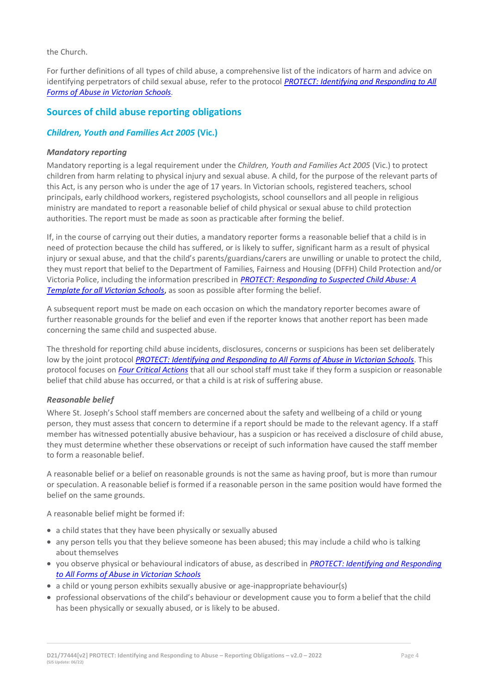the Church.

For further definitions of all types of child abuse, a comprehensive list of the indicators of harm and advice on identifying perpetrators of child sexual abuse, refer to the protocol *[PROTECT: Identifying and Responding to All](https://www.education.vic.gov.au/Documents/about/programs/health/protect/ChildSafeStandard5_SchoolsGuide.pdf)  [Forms of Abuse in Victorian Schools](https://www.education.vic.gov.au/Documents/about/programs/health/protect/ChildSafeStandard5_SchoolsGuide.pdf)[.](http://www.education.vic.gov.au/Documents/about/programs/health/protect/ChildSafeStandard5_SchoolsGuide.pdf)*

# **Sources of child abuse reporting obligations**

### *Children, Youth and Families Act 2005* **(Vic.)**

#### *Mandatory reporting*

Mandatory reporting is a legal requirement under the *Children, Youth and Families Act 2005* (Vic.) to protect children from harm relating to physical injury and sexual abuse. A child, for the purpose of the relevant parts of this Act, is any person who is under the age of 17 years. In Victorian schools, registered teachers, school principals, early childhood workers, registered psychologists, school counsellors and all people in religious ministry are mandated to report a reasonable belief of child physical or sexual abuse to child protection authorities. The report must be made as soon as practicable after forming the belief.

If, in the course of carrying out their duties, a mandatory reporter forms a reasonable belief that a child is in need of protection because the child has suffered, or is likely to suffer, significant harm as a result of physical injury or sexual abuse, and that the child's parents/guardians/carers are unwilling or unable to protect the child, they must report that belief to the Department of Families, Fairness and Housing (DFFH) Child Protection and/or Victoria Police, including the information prescribed in *[PROTECT: Responding to Suspected Child Abuse: A](http://www.education.vic.gov.au/Documents/about/programs/health/protect/PROTECT_Responding_TemplateSchools.pdf)  [Template for all Victorian Schools](http://www.education.vic.gov.au/Documents/about/programs/health/protect/PROTECT_Responding_TemplateSchools.pdf)*, as soon as possible after forming the belief.

A subsequent report must be made on each occasion on which the mandatory reporter becomes aware of further reasonable grounds for the belief and even if the reporter knows that another report has been made concerning the same child and suspected abuse.

The threshold for reporting child abuse incidents, disclosures, concerns or suspicions has been set deliberately low by the joint protocol *PROTECT: Identifying and Responding [to All Forms of Abuse in Victorian Schools](http://www.education.vic.gov.au/Documents/about/programs/health/protect/ChildSafeStandard5_SchoolsGuide.pdf)*[. T](http://www.education.vic.gov.au/Documents/about/programs/health/protect/ChildSafeStandard5_SchoolsGuide.pdf)his protocol focuses on *[Four Critical Actions](http://www.education.vic.gov.au/Documents/about/programs/health/protect/FourCriticalActions_ChildAbuse.pdf)* that all our school staff must take if they form a suspicion or reasonable belief that child abuse has occurred, or that a child is at risk of suffering abuse.

#### <span id="page-3-0"></span>*Reasonable belief*

Where St. Joseph's School staff members are concerned about the safety and wellbeing of a child or young person, they must assess that concern to determine if a report should be made to the relevant agency. If a staff member has witnessed potentially abusive behaviour, has a suspicion or has received a disclosure of child abuse, they must determine whether these observations or receipt of such information have caused the staff member to form a reasonable belief.

A reasonable belief or a belief on reasonable grounds is not the same as having proof, but is more than rumour or speculation. A reasonable belief is formed if a reasonable person in the same position would have formed the belief on the same grounds.

A reasonable belief might be formed if:

- a child states that they have been physically or sexually abused
- any person tells you that they believe someone has been abused; this may include a child who is talking about themselves
- you observe physical or behavioural indicators of abuse, as described in *[PROTECT: Identifying and Responding](http://www.education.vic.gov.au/Documents/about/programs/health/protect/ChildSafeStandard5_SchoolsGuide.pdf)  [to All Forms of Abuse in Victorian Schools](http://www.education.vic.gov.au/Documents/about/programs/health/protect/ChildSafeStandard5_SchoolsGuide.pdf)*
- a child or young person exhibits sexually abusive or age-inappropriate behaviour(s)
- professional observations of the child's behaviour or development cause you to form a belief that the child has been physically or sexually abused, or is likely to be abused.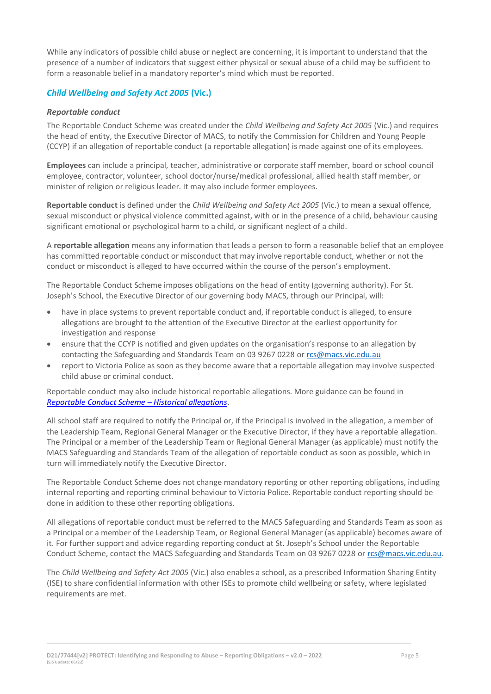While any indicators of possible child abuse or neglect are concerning, it is important to understand that the presence of a number of indicators that suggest either physical or sexual abuse of a child may be sufficient to form a reasonable belief in a mandatory reporter's mind which must be reported.

# *Child Wellbeing and Safety Act 2005* **(Vic.)**

#### *Reportable conduct*

The Reportable Conduct Scheme was created under the *Child Wellbeing and Safety Act 2005* (Vic.) and requires the head of entity, the Executive Director of MACS, to notify the Commission for Children and Young People (CCYP) if an allegation of reportable conduct (a reportable allegation) is made against one of its employees.

**Employees** can include a principal, teacher, administrative or corporate staff member, board or school council employee, contractor, volunteer, school doctor/nurse/medical professional, allied health staff member, or minister of religion or religious leader. It may also include former employees.

**Reportable conduct** is defined under the *Child Wellbeing and Safety Act 2005* (Vic.) to mean a sexual offence, sexual misconduct or physical violence committed against, with or in the presence of a child, behaviour causing significant emotional or psychological harm to a child, or significant neglect of a child.

A **reportable allegation** means any information that leads a person to form a reasonable belief that an employee has committed reportable conduct or misconduct that may involve reportable conduct, whether or not the conduct or misconduct is alleged to have occurred within the course of the person's employment.

The Reportable Conduct Scheme imposes obligations on the head of entity (governing authority). For St. Joseph's School, the Executive Director of our governing body MACS, through our Principal, will:

- have in place systems to prevent reportable conduct and, if reportable conduct is alleged, to ensure allegations are brought to the attention of the Executive Director at the earliest opportunity for investigation and response
- ensure that the CCYP is notified and given updates on the organisation's response to an allegation by contacting the Safeguarding and Standards Team on 03 9267 0228 o[r rcs@macs.vic.edu.au](mailto:rcs@macs.vic.edu.au)
- report to Victoria Police as soon as they become aware that a reportable allegation may involve suspected child abuse or criminal conduct.

Reportable conduct may also include historical reportable allegations. More guidance can be found in *[Reportable Conduct Scheme](https://ccyp.vic.gov.au/assets/resources/RCSInfoSheetUpdates/Historical-Allegations-110718.pdf) – Historical allegations*.

All school staff are required to notify the Principal or, if the Principal is involved in the allegation, a member of the Leadership Team, Regional General Manager or the Executive Director, if they have a reportable allegation. The Principal or a member of the Leadership Team or Regional General Manager (as applicable) must notify the MACS Safeguarding and Standards Team of the allegation of reportable conduct as soon as possible, which in turn will immediately notify the Executive Director.

The Reportable Conduct Scheme does not change mandatory reporting or other reporting obligations, including internal reporting and reporting criminal behaviour to Victoria Police. Reportable conduct reporting should be done in addition to these other reporting obligations.

All allegations of reportable conduct must be referred to the MACS Safeguarding and Standards Team as soon as a Principal or a member of the Leadership Team, or Regional General Manager (as applicable) becomes aware of it. For further support and advice regarding reporting conduct at St. Joseph's School under the Reportable Conduct Scheme, contact the MACS Safeguarding and Standards Team on 03 9267 0228 o[r rcs@macs.vic.edu.au.](mailto:rcs@macs.vic.edu.au)

The *Child Wellbeing and Safety Act 2005* (Vic.) also enables a school, as a prescribed Information Sharing Entity (ISE) to share confidential information with other ISEs to promote child wellbeing or safety, where legislated requirements are met.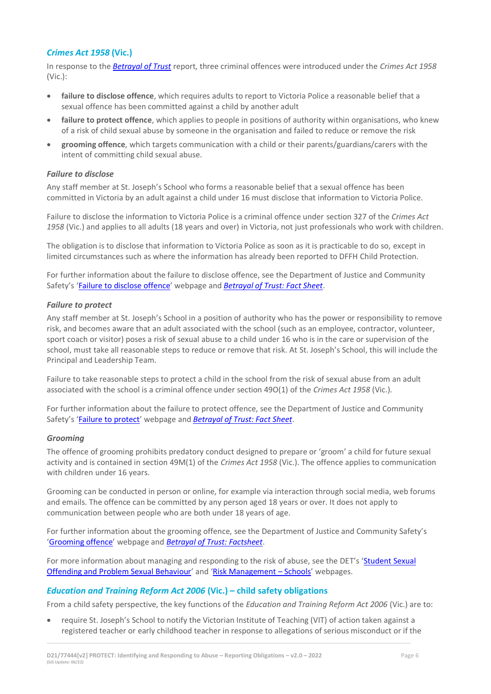# *Crimes Act 1958* **(Vic.)**

In response to the *[Betrayal of Trust](http://www.parliament.vic.gov.au/file_uploads/Inquiry_into_Handling_of_Abuse_Volume_2_FINAL_web_y78t3Wpb.pdf)* report, three criminal offences were introduced under the *Crimes Act 1958* (Vic.):

- **[failure to disclose offence](http://www.justice.vic.gov.au/home/safer%2Bcommunities/protecting%2Bchildren%2Band%2Bfamilies/failure%2Bto%2Bdisclose%2Boffence)**, which requires adults to report to Victoria Police a reasonable belief that a sexual offence has been committed against a child by another adult
- **[failure to protect offence](http://www.justice.vic.gov.au/home/safer%2Bcommunities/protecting%2Bchildren%2Band%2Bfamilies/failure%2Bto%2Bprotect%2Boffence)**, which applies to people in positions of authority within organisations, who knew of a risk of child sexual abuse by someone in the organisation and failed to reduce or remove the risk
- **[grooming offence](http://www.justice.vic.gov.au/home/safer%2Bcommunities/protecting%2Bchildren%2Band%2Bfamilies/grooming%2Boffence)**, which targets communication with a child or their parents/guardians/carers with the intent of committing child sexual abuse.

#### <span id="page-5-0"></span>*Failure to disclose*

Any staff member at St. Joseph's School who forms a reasonable belief that a sexual offence has been committed in Victoria by an adult against a child under 16 must disclose that information to Victoria Police.

Failure to disclose the information to Victoria Police is a criminal offence under section 327 of the *Crimes Act 1958* (Vic.) and applies to all adults (18 years and over) in Victoria, not just professionals who work with children.

The obligation is to disclose that information to Victoria Police as soon as it is practicable to do so, except in limited circumstances such as where the information has already been reported to DFFH Child Protection.

For further information about the failure to disclose offence, see the Department of Justice and Community Safety's '[Failure to disclose offence](https://www.justice.vic.gov.au/safer-communities/protecting-children-and-families/failure-to-disclose-offence)' webpage and *[Betrayal of Trust: Fact Sheet](https://www.justice.vic.gov.au/sites/default/files/embridge_cache/emshare/original/public/2020/06/c5/7f42d28f3/betrayal_of_trust-organisational_duty_fact_sheet_2018%20.doc)*.

#### *Failure to protect*

Any staff member at St. Joseph's School in a position of authority who has the power or responsibility to remove risk, and becomes aware that an adult associated with the school (such as an employee, contractor, volunteer, sport coach or visitor) poses a risk of sexual abuse to a child under 16 who is in the care or supervision of the school, must take all reasonable steps to reduce or remove that risk. At St. Joseph's School, this will include the Principal and Leadership Team.

Failure to take reasonable steps to protect a child in the school from the risk of sexual abuse from an adult associated with the school is a criminal offence under section 49O(1) of the *Crimes Act 1958* (Vic.).

For further information about the failure to protect offence, see the Department of Justice and Community Safety's '[Failure to protect](https://www.justice.vic.gov.au/safer-communities/protecting-children-and-families/failure-to-protect-a-new-criminal-offence-to)' webpage and *[Betrayal of Trust: Fact Sheet](https://www.justice.vic.gov.au/sites/default/files/embridge_cache/emshare/original/public/2020/06/e0/4460c5147/failure_to_protect_betrayal_of_trust_factsheet_2017.pdf)*.

#### *Grooming*

The offence of grooming prohibits predatory conduct designed to prepare or 'groom' a child for future sexual activity and is contained in section 49M(1) of the *Crimes Act 1958* (Vic.). The offence applies to communication with children under 16 years.

Grooming can be conducted in person or online, for example via interaction through social media, web forums and emails. The offence can be committed by any person aged 18 years or over. It does not apply to communication between people who are both under 18 years of age.

For further information about the grooming offence, see the Department of Justice and Community Safety's '[Grooming offence](https://www.justice.vic.gov.au/safer-communities/protecting-children-and-families/grooming-offence)' webpage and *[Betrayal of Trust: Factsheet](https://www.justice.vic.gov.au/sites/default/files/embridge_cache/emshare/original/public/2020/06/e6/ea73d4b66/grooming_betrayal_of_trust_factsheet_2017.pdf)*.

For more information about managing and responding to the risk of abuse, see the DET's 'Student Sexual [Offending and Problem Sexual Behaviour](https://www2.education.vic.gov.au/pal/student-sexual-behaviours/policy)' and '[Risk Management](https://www2.education.vic.gov.au/pal/risk-management-schools/policy) – Schools' webpages.

#### *Education and Training Reform Act 2006* **(Vic.) – child safety obligations**

From a child safety perspective, the key functions of the *Education and Training Reform Act 2006* (Vic.) are to:

• require St. Joseph's School to notify the Victorian Institute of Teaching (VIT) of action taken against a registered teacher or early childhood teacher in response to allegations of serious misconduct or if the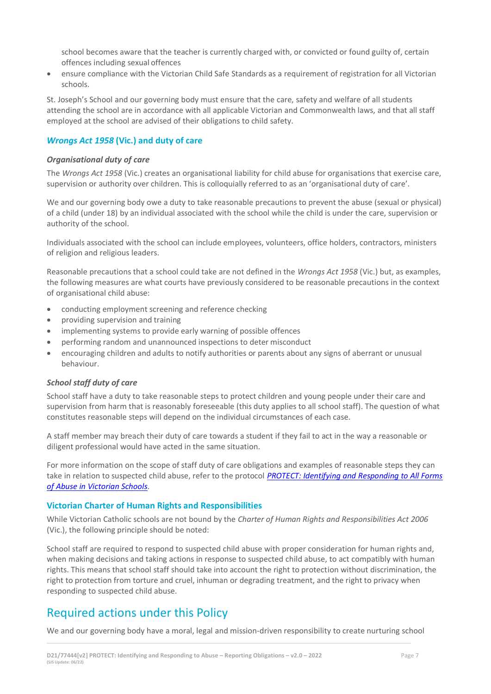school becomes aware that the teacher is currently charged with, or convicted or found guilty of, certain offences including sexual offences

• ensure compliance with the Victorian Child Safe Standards as a requirement of registration for all Victorian schools.

St. Joseph's School and our governing body must ensure that the care, safety and welfare of all students attending the school are in accordance with all applicable Victorian and Commonwealth laws, and that all staff employed at the school are advised of their obligations to child safety.

# *Wrongs Act 1958* **(Vic.) and duty of care**

#### *Organisational duty of care*

The *Wrongs Act 1958* (Vic.) creates an organisational liability for child abuse for organisations that exercise care, supervision or authority over children. This is colloquially referred to as an 'organisational duty of care'.

We and our governing body owe a duty to take reasonable precautions to prevent the abuse (sexual or physical) of a child (under 18) by an individual associated with the school while the child is under the care, supervision or authority of the school.

Individuals associated with the school can include employees, volunteers, office holders, contractors, ministers of religion and religious leaders.

Reasonable precautions that a school could take are not defined in the *Wrongs Act 1958* (Vic.) but, as examples, the following measures are what courts have previously considered to be reasonable precautions in the context of organisational child abuse:

- conducting employment screening and reference checking
- providing supervision and training
- implementing systems to provide early warning of possible offences
- performing random and unannounced inspections to deter misconduct
- encouraging children and adults to notify authorities or parents about any signs of aberrant or unusual behaviour.

#### *School staff duty of care*

School staff have a duty to take reasonable steps to protect children and young people under their care and supervision from harm that is reasonably foreseeable (this duty applies to all school staff). The question of what constitutes reasonable steps will depend on the individual circumstances of each case.

A staff member may breach their duty of care towards a student if they fail to act in the way a reasonable or diligent professional would have acted in the same situation.

For more information on the scope of staff duty of care obligations and examples of reasonable steps they can take in relation to suspected child abuse, refer to the protocol *[PROTECT: Identifying and Responding to All Forms](http://www.education.vic.gov.au/Documents/about/programs/health/protect/ChildSafeStandard5_SchoolsGuide.pdf)  [of Abuse in Victorian Schools.](http://www.education.vic.gov.au/Documents/about/programs/health/protect/ChildSafeStandard5_SchoolsGuide.pdf)*

#### **Victorian Charter of Human Rights and Responsibilities**

While Victorian Catholic schools are not bound by the *Charter of Human Rights and Responsibilities Act 2006* (Vic.), the following principle should be noted:

School staff are required to respond to suspected child abuse with proper consideration for human rights and, when making decisions and taking actions in response to suspected child abuse, to act compatibly with human rights. This means that school staff should take into account the right to protection without discrimination, the right to protection from torture and cruel, inhuman or degrading treatment, and the right to privacy when responding to suspected child abuse.

# Required actions under this Policy

We and our governing body have a moral, legal and mission-driven responsibility to create nurturing school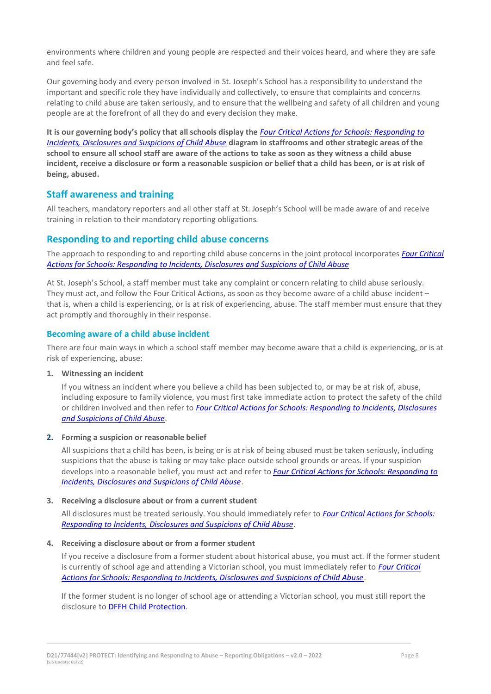environments where children and young people are respected and their voices heard, and where they are safe and feel safe.

Our governing body and every person involved in St. Joseph's School has a responsibility to understand the important and specific role they have individually and collectively, to ensure that complaints and concerns relating to child abuse are taken seriously, and to ensure that the wellbeing and safety of all children and young people are at the forefront of all they do and every decision they make.

**It is our governing body's policy that all schools display the** *[Four Critical Actions for Schools: Responding to](http://www.education.vic.gov.au/Documents/about/programs/health/protect/FourCriticalActions_ChildAbuse.pdf)  [Incidents, Disclosures and Suspicions of Child Abuse](http://www.education.vic.gov.au/Documents/about/programs/health/protect/FourCriticalActions_ChildAbuse.pdf)* **diagram in staffrooms and other strategic areas of the school to ensure all school staff are aware of the actions to take as soon as they witness a child abuse incident, receive a disclosure or form a reasonable suspicion or belief that a child has been, or is at risk of being, abused.**

# **Staff awareness and training**

All teachers, mandatory reporters and all other staff at St. Joseph's School will be made aware of and receive training in relation to their mandatory reporting obligations.

# **Responding to and reporting child abuse concerns**

The approach to responding to and reporting child abuse concerns in the joint protocol incorporates *[Four Critical](http://www.education.vic.gov.au/Documents/about/programs/health/protect/FourCriticalActions_ChildAbuse.pdf)  [Actions for Schools: Responding to Incidents, Disclosures and Suspicions of Child Abuse](http://www.education.vic.gov.au/Documents/about/programs/health/protect/FourCriticalActions_ChildAbuse.pdf)*

At St. Joseph's School, a staff member must take any complaint or concern relating to child abuse seriously. They must act, and follow the Four Critical Actions, as soon as they become aware of a child abuse incident – that is, when a child is experiencing, or is at risk of experiencing, abuse. The staff member must ensure that they act promptly and thoroughly in their response.

### **Becoming aware of a child abuse incident**

There are four main ways in which a school staff member may become aware that a child is experiencing, or is at risk of experiencing, abuse:

#### **1. Witnessing an incident**

If you witness an incident where you believe a child has been subjected to, or may be at risk of, abuse, including exposure to family violence, you must first take immediate action to protect the safety of the child or children involved and then refer to *[Four Critical Actions for Schools: Responding to Incidents, Disclosures](http://www.education.vic.gov.au/Documents/about/programs/health/protect/FourCriticalActions_ChildAbuse.pdf)  [and Suspicions of Child Abuse](http://www.education.vic.gov.au/Documents/about/programs/health/protect/FourCriticalActions_ChildAbuse.pdf)*.

#### **2. Forming a suspicion or reasonable belief**

All suspicions that a child has been, is being or is at risk of being abused must be taken seriously, including suspicions that the abuse is taking or may take place outside school grounds or areas. If your suspicion develops into a reasonable belief, you must act and refer to *[Four Critical Actions for Schools: Responding to](http://www.education.vic.gov.au/Documents/about/programs/health/protect/FourCriticalActions_ChildAbuse.pdf)  [Incidents, Disclosures and Suspicions of Child Abuse](http://www.education.vic.gov.au/Documents/about/programs/health/protect/FourCriticalActions_ChildAbuse.pdf)*.

#### **3. Receiving a disclosure about or from a current student**

All disclosures must be treated seriously. You should immediately refer to *[Four Critical Actions for Schools:](http://www.education.vic.gov.au/Documents/about/programs/health/protect/FourCriticalActions_ChildAbuse.pdf)  [Responding to Incidents, Disclosures and Suspicions of Child Abuse](http://www.education.vic.gov.au/Documents/about/programs/health/protect/FourCriticalActions_ChildAbuse.pdf)*[.](http://www.education.vic.gov.au/Documents/about/programs/health/protect/FourCriticalActions_ChildAbuse.pdf)

#### **4. Receiving a disclosure about or from a former student**

If you receive a disclosure from a former student about historical abuse, you must act. If the former student is currently of school age and attending a Victorian school, you must immediately refer to *[Four Critical](http://www.education.vic.gov.au/Documents/about/programs/health/protect/FourCriticalActions_ChildAbuse.pdf)  [Actions for Schools: Responding to Incidents, Disclosures and Suspicions of Child Abuse](http://www.education.vic.gov.au/Documents/about/programs/health/protect/FourCriticalActions_ChildAbuse.pdf)*[.](http://www.education.vic.gov.au/Documents/about/programs/health/protect/FourCriticalActions_ChildAbuse.pdf)

If the former student is no longer of school age or attending a Victorian school, you must still report the disclosure to DFFH [Child Protection](https://www.education.vic.gov.au/about/contact/Pages/reportingabuse.aspx)[.](http://www.education.vic.gov.au/about/contact/Pages/reportingabuse.aspx?Redirect=1)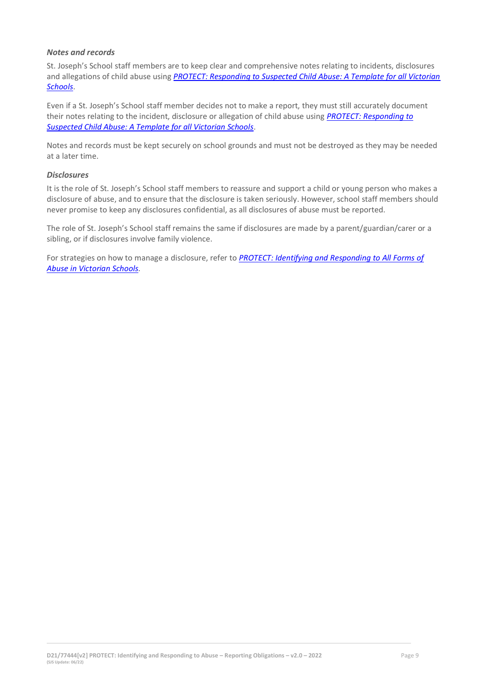#### *Notes and records*

St. Joseph's School staff members are to keep clear and comprehensive notes relating to incidents, disclosures and allegations of child abuse using **PROTECT: Responding to Suspected Child Abuse: A Template for all Victorian** *[Schools](http://www.education.vic.gov.au/Documents/about/programs/health/protect/PROTECT_Responding_TemplateSchools.pdf)*.

Even if a St. Joseph's School staff member decides not to make a report, they must still accurately document their notes relating to the incident, disclosure or allegation of child abuse using *[PROTECT: Responding to](http://www.education.vic.gov.au/Documents/about/programs/health/protect/PROTECT_Responding_TemplateSchools.pdf)  [Suspected Child Abuse: A Template for all Victorian Schools](http://www.education.vic.gov.au/Documents/about/programs/health/protect/PROTECT_Responding_TemplateSchools.pdf)*.

Notes and records must be kept securely on school grounds and must not be destroyed as they may be needed at a later time.

#### *Disclosures*

It is the role of St. Joseph's School staff members to reassure and support a child or young person who makes a disclosure of abuse, and to ensure that the disclosure is taken seriously. However, school staff members should never promise to keep any disclosures confidential, as all disclosures of abuse must be reported.

The role of St. Joseph's School staff remains the same if disclosures are made by a parent/guardian/carer or a sibling, or if disclosures involve family violence.

For strategies on how to manage a disclosure, refer to *[PROTECT: Identifying and Responding to All Forms of](http://www.education.vic.gov.au/Documents/about/programs/health/protect/ChildSafeStandard5_SchoolsGuide.pdf)  [Abuse in Victorian Schools.](http://www.education.vic.gov.au/Documents/about/programs/health/protect/ChildSafeStandard5_SchoolsGuide.pdf)*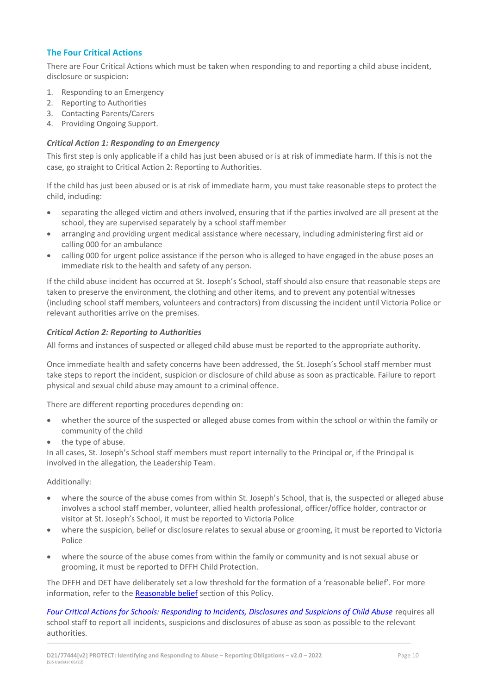# **The Four Critical Actions**

There are Four Critical Actions which must be taken when responding to and reporting a child abuse incident, disclosure or suspicion:

- 1. Responding to an Emergency
- 2. Reporting to Authorities
- 3. Contacting Parents/Carers
- 4. Providing Ongoing Support.

### *Critical Action 1: Responding to an Emergency*

This first step is only applicable if a child has just been abused or is at risk of immediate harm. If this is not the case, go straight to Critical Action 2: Reporting to Authorities.

If the child has just been abused or is at risk of immediate harm, you must take reasonable steps to protect the child, including:

- separating the alleged victim and others involved, ensuring that if the parties involved are all present at the school, they are supervised separately by a school staffmember
- arranging and providing urgent medical assistance where necessary, including administering first aid or calling 000 for an ambulance
- calling 000 for urgent police assistance if the person who is alleged to have engaged in the abuse poses an immediate risk to the health and safety of any person.

If the child abuse incident has occurred at St. Joseph's School, staff should also ensure that reasonable steps are taken to preserve the environment, the clothing and other items, and to prevent any potential witnesses (including school staff members, volunteers and contractors) from discussing the incident until Victoria Police or relevant authorities arrive on the premises.

#### *Critical Action 2: Reporting to Authorities*

All forms and instances of suspected or alleged child abuse must be reported to the appropriate authority.

Once immediate health and safety concerns have been addressed, the St. Joseph's School staff member must take steps to report the incident, suspicion or disclosure of child abuse as soon as practicable. Failure to report physical and sexual child abuse may amount to a criminal offence.

There are different reporting procedures depending on:

- whether the source of the suspected or alleged abuse comes from within the school or within the family or community of the child
- the type of abuse.

In all cases, St. Joseph's School staff members must report internally to the Principal or, if the Principal is involved in the allegation, the Leadership Team.

Additionally:

- where the source of the abuse comes from within St. Joseph's School, that is, the suspected or alleged abuse involves a school staff member, volunteer, allied health professional, officer/office holder, contractor or visitor at St. Joseph's School, it must be reported to Victoria Police
- where the suspicion, belief or disclosure relates to sexual abuse or grooming, it must be reported to Victoria Police
- where the source of the abuse comes from within the family or community and is not sexual abuse or grooming, it must be reported to DFFH Child Protection.

The DFFH and DET have deliberately set a low threshold for the formation of a 'reasonable belief'. For more information, refer to the [Reasonable belief](#page-3-0) section of this Policy.

*[Four Critical Actions for Schools: Responding to Incidents, Disclosures and Suspicions of Child Abuse](http://www.education.vic.gov.au/Documents/about/programs/health/protect/FourCriticalActions_ChildAbuse.pdf)* requires all school staff to report all incidents, suspicions and disclosures of abuse as soon as possible to the relevant authorities.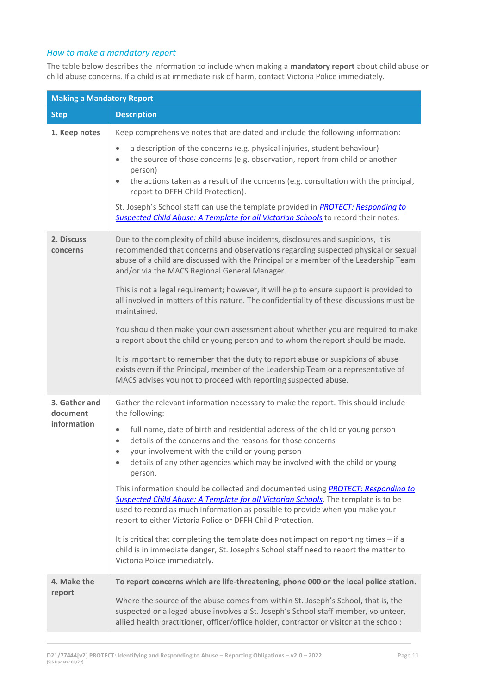# *How to make a mandatory report*

The table below describes the information to include when making a **mandatory report** about child abuse or child abuse concerns. If a child is at immediate risk of harm, contact Victoria Police immediately.

| <b>Making a Mandatory Report</b>         |                                                                                                                                                                                                                                                                                                                                                                                                                                                                                                                                                                                                                                                                                                                                                                                                                                                                                                                                                                                                     |  |
|------------------------------------------|-----------------------------------------------------------------------------------------------------------------------------------------------------------------------------------------------------------------------------------------------------------------------------------------------------------------------------------------------------------------------------------------------------------------------------------------------------------------------------------------------------------------------------------------------------------------------------------------------------------------------------------------------------------------------------------------------------------------------------------------------------------------------------------------------------------------------------------------------------------------------------------------------------------------------------------------------------------------------------------------------------|--|
| <b>Step</b>                              | <b>Description</b>                                                                                                                                                                                                                                                                                                                                                                                                                                                                                                                                                                                                                                                                                                                                                                                                                                                                                                                                                                                  |  |
| 1. Keep notes                            | Keep comprehensive notes that are dated and include the following information:<br>a description of the concerns (e.g. physical injuries, student behaviour)<br>$\bullet$<br>the source of those concerns (e.g. observation, report from child or another<br>$\bullet$<br>person)<br>the actions taken as a result of the concerns (e.g. consultation with the principal,<br>$\bullet$<br>report to DFFH Child Protection).<br>St. Joseph's School staff can use the template provided in <b>PROTECT: Responding to</b><br>Suspected Child Abuse: A Template for all Victorian Schools to record their notes.                                                                                                                                                                                                                                                                                                                                                                                        |  |
| 2. Discuss<br>concerns                   | Due to the complexity of child abuse incidents, disclosures and suspicions, it is<br>recommended that concerns and observations regarding suspected physical or sexual<br>abuse of a child are discussed with the Principal or a member of the Leadership Team<br>and/or via the MACS Regional General Manager.<br>This is not a legal requirement; however, it will help to ensure support is provided to<br>all involved in matters of this nature. The confidentiality of these discussions must be<br>maintained.<br>You should then make your own assessment about whether you are required to make<br>a report about the child or young person and to whom the report should be made.<br>It is important to remember that the duty to report abuse or suspicions of abuse<br>exists even if the Principal, member of the Leadership Team or a representative of<br>MACS advises you not to proceed with reporting suspected abuse.                                                            |  |
| 3. Gather and<br>document<br>information | Gather the relevant information necessary to make the report. This should include<br>the following:<br>full name, date of birth and residential address of the child or young person<br>$\bullet$<br>details of the concerns and the reasons for those concerns<br>$\bullet$<br>your involvement with the child or young person<br>$\bullet$<br>details of any other agencies which may be involved with the child or young<br>$\bullet$<br>person.<br>This information should be collected and documented using <i>PROTECT: Responding to</i><br>Suspected Child Abuse: A Template for all Victorian Schools. The template is to be<br>used to record as much information as possible to provide when you make your<br>report to either Victoria Police or DFFH Child Protection.<br>It is critical that completing the template does not impact on reporting times - if a<br>child is in immediate danger, St. Joseph's School staff need to report the matter to<br>Victoria Police immediately. |  |
| 4. Make the<br>report                    | To report concerns which are life-threatening, phone 000 or the local police station.<br>Where the source of the abuse comes from within St. Joseph's School, that is, the<br>suspected or alleged abuse involves a St. Joseph's School staff member, volunteer,<br>allied health practitioner, officer/office holder, contractor or visitor at the school:                                                                                                                                                                                                                                                                                                                                                                                                                                                                                                                                                                                                                                         |  |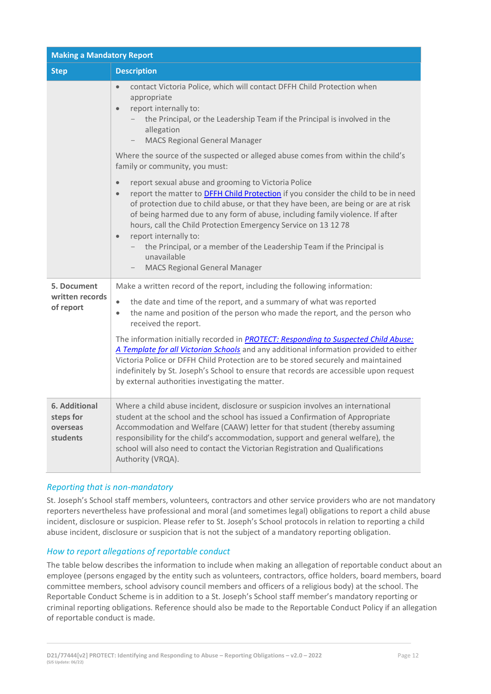| <b>Making a Mandatory Report</b>                   |                                                                                                                                                                                                                                                                                                                                                                                                                                                                                                                                                                                                                                                                                                               |  |
|----------------------------------------------------|---------------------------------------------------------------------------------------------------------------------------------------------------------------------------------------------------------------------------------------------------------------------------------------------------------------------------------------------------------------------------------------------------------------------------------------------------------------------------------------------------------------------------------------------------------------------------------------------------------------------------------------------------------------------------------------------------------------|--|
| <b>Step</b>                                        | <b>Description</b>                                                                                                                                                                                                                                                                                                                                                                                                                                                                                                                                                                                                                                                                                            |  |
|                                                    | contact Victoria Police, which will contact DFFH Child Protection when<br>$\bullet$<br>appropriate<br>report internally to:<br>$\bullet$<br>the Principal, or the Leadership Team if the Principal is involved in the<br>allegation<br><b>MACS Regional General Manager</b><br>Where the source of the suspected or alleged abuse comes from within the child's                                                                                                                                                                                                                                                                                                                                               |  |
|                                                    | family or community, you must:<br>report sexual abuse and grooming to Victoria Police<br>$\bullet$<br>report the matter to <b>DFFH Child Protection</b> if you consider the child to be in need<br>$\bullet$<br>of protection due to child abuse, or that they have been, are being or are at risk<br>of being harmed due to any form of abuse, including family violence. If after<br>hours, call the Child Protection Emergency Service on 13 12 78<br>report internally to:<br>$\bullet$<br>the Principal, or a member of the Leadership Team if the Principal is<br>unavailable<br><b>MACS Regional General Manager</b>                                                                                   |  |
| 5. Document<br>written records<br>of report        | Make a written record of the report, including the following information:<br>$\bullet$<br>the date and time of the report, and a summary of what was reported<br>the name and position of the person who made the report, and the person who<br>$\bullet$<br>received the report.<br>The information initially recorded in <b>PROTECT: Responding to Suspected Child Abuse:</b><br>A Template for all Victorian Schools and any additional information provided to either<br>Victoria Police or DFFH Child Protection are to be stored securely and maintained<br>indefinitely by St. Joseph's School to ensure that records are accessible upon request<br>by external authorities investigating the matter. |  |
| 6. Additional<br>steps for<br>overseas<br>students | Where a child abuse incident, disclosure or suspicion involves an international<br>student at the school and the school has issued a Confirmation of Appropriate<br>Accommodation and Welfare (CAAW) letter for that student (thereby assuming<br>responsibility for the child's accommodation, support and general welfare), the<br>school will also need to contact the Victorian Registration and Qualifications<br>Authority (VRQA).                                                                                                                                                                                                                                                                      |  |

# *Reporting that is non-mandatory*

St. Joseph's School staff members, volunteers, contractors and other service providers who are not mandatory reporters nevertheless have professional and moral (and sometimes legal) obligations to report a child abuse incident, disclosure or suspicion. Please refer to St. Joseph's School protocols in relation to reporting a child abuse incident, disclosure or suspicion that is not the subject of a mandatory reporting obligation.

#### *How to report allegations of reportable conduct*

The table below describes the information to include when making an allegation of reportable conduct about an employee (persons engaged by the entity such as volunteers, contractors, office holders, board members, board committee members, school advisory council members and officers of a religious body) at the school. The Reportable Conduct Scheme is in addition to a St. Joseph's School staff member's mandatory reporting or criminal reporting obligations. Reference should also be made to the Reportable Conduct Policy if an allegation of reportable conduct is made.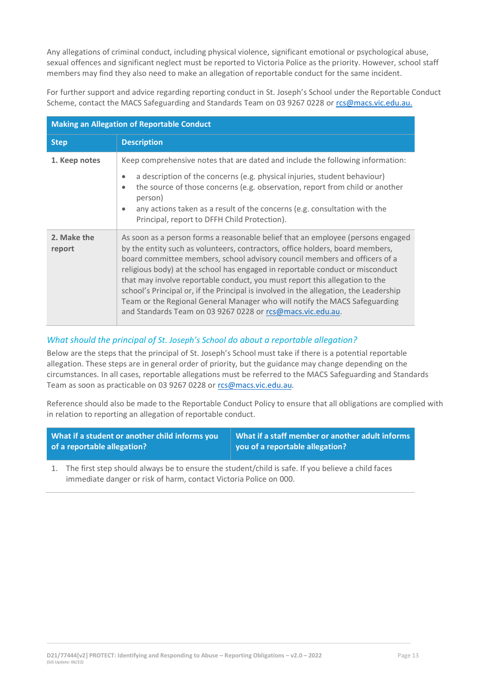Any allegations of criminal conduct, including physical violence, significant emotional or psychological abuse, sexual offences and significant neglect must be reported to Victoria Police as the priority. However, school staff members may find they also need to make an allegation of reportable conduct for the same incident.

For further support and advice regarding reporting conduct in St. Joseph's School under the Reportable Conduct Scheme, contact the MACS Safeguarding and Standards Team on 03 9267 0228 o[r rcs@macs.vic.edu.au.](mailto:rcs@macs.vic.edu.au.)

| <b>Making an Allegation of Reportable Conduct</b> |                                                                                                                                                                                                                                                                                                                                                                                                                                                                                                                                                                                                                                                     |  |
|---------------------------------------------------|-----------------------------------------------------------------------------------------------------------------------------------------------------------------------------------------------------------------------------------------------------------------------------------------------------------------------------------------------------------------------------------------------------------------------------------------------------------------------------------------------------------------------------------------------------------------------------------------------------------------------------------------------------|--|
| <b>Step</b>                                       | <b>Description</b>                                                                                                                                                                                                                                                                                                                                                                                                                                                                                                                                                                                                                                  |  |
| 1. Keep notes                                     | Keep comprehensive notes that are dated and include the following information:                                                                                                                                                                                                                                                                                                                                                                                                                                                                                                                                                                      |  |
|                                                   | a description of the concerns (e.g. physical injuries, student behaviour)<br>$\bullet$<br>the source of those concerns (e.g. observation, report from child or another<br>$\bullet$<br>person)<br>any actions taken as a result of the concerns (e.g. consultation with the<br>$\bullet$<br>Principal, report to DFFH Child Protection).                                                                                                                                                                                                                                                                                                            |  |
| 2. Make the<br>report                             | As soon as a person forms a reasonable belief that an employee (persons engaged<br>by the entity such as volunteers, contractors, office holders, board members,<br>board committee members, school advisory council members and officers of a<br>religious body) at the school has engaged in reportable conduct or misconduct<br>that may involve reportable conduct, you must report this allegation to the<br>school's Principal or, if the Principal is involved in the allegation, the Leadership<br>Team or the Regional General Manager who will notify the MACS Safeguarding<br>and Standards Team on 03 9267 0228 or rcs@macs.vic.edu.au. |  |

# *What should the principal of St. Joseph's School do about a reportable allegation?*

Below are the steps that the principal of St. Joseph's School must take if there is a potential reportable allegation. These steps are in general order of priority, but the guidance may change depending on the circumstances. In all cases, reportable allegations must be referred to the MACS Safeguarding and Standards Team as soon as practicable on 03 9267 0228 or [rcs@macs.vic.edu.au.](mailto:rcs@macs.vic.edu.au)

Reference should also be made to the Reportable Conduct Policy to ensure that all obligations are complied with in relation to reporting an allegation of reportable conduct.

| What if a student or another child informs you | What if a staff member or another adult informs |
|------------------------------------------------|-------------------------------------------------|
| of a reportable allegation?                    | you of a reportable allegation?                 |

1. The first step should always be to ensure the student/child is safe. If you believe a child faces immediate danger or risk of harm, contact Victoria Police on 000.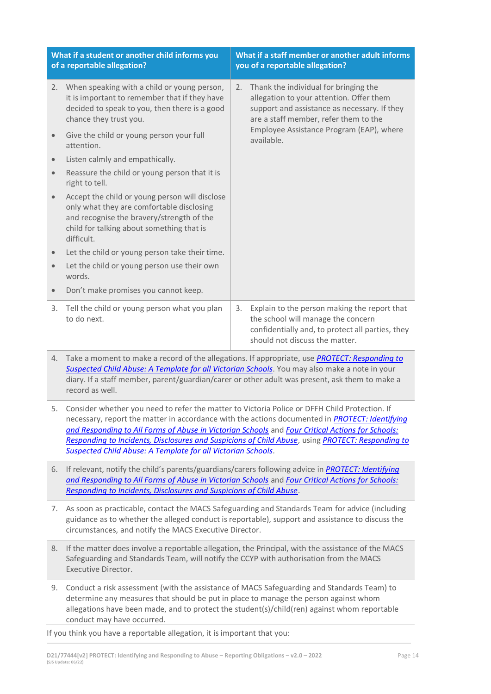| What if a student or another child informs you<br>of a reportable allegation? |                                                                                                                                                                                                     | What if a staff member or another adult informs<br>you of a reportable allegation? |                                                                                                                                                                            |  |
|-------------------------------------------------------------------------------|-----------------------------------------------------------------------------------------------------------------------------------------------------------------------------------------------------|------------------------------------------------------------------------------------|----------------------------------------------------------------------------------------------------------------------------------------------------------------------------|--|
| 2.                                                                            | When speaking with a child or young person,<br>it is important to remember that if they have<br>decided to speak to you, then there is a good<br>chance they trust you.                             | 2.                                                                                 | Thank the individual for bringing the<br>allegation to your attention. Offer them<br>support and assistance as necessary. If they<br>are a staff member, refer them to the |  |
|                                                                               | Give the child or young person your full<br>attention.                                                                                                                                              |                                                                                    | Employee Assistance Program (EAP), where<br>available.                                                                                                                     |  |
| $\bullet$                                                                     | Listen calmly and empathically.                                                                                                                                                                     |                                                                                    |                                                                                                                                                                            |  |
| $\bullet$                                                                     | Reassure the child or young person that it is<br>right to tell.                                                                                                                                     |                                                                                    |                                                                                                                                                                            |  |
| $\bullet$                                                                     | Accept the child or young person will disclose<br>only what they are comfortable disclosing<br>and recognise the bravery/strength of the<br>child for talking about something that is<br>difficult. |                                                                                    |                                                                                                                                                                            |  |
| $\bullet$                                                                     | Let the child or young person take their time.                                                                                                                                                      |                                                                                    |                                                                                                                                                                            |  |
| $\bullet$                                                                     | Let the child or young person use their own<br>words.                                                                                                                                               |                                                                                    |                                                                                                                                                                            |  |
| $\bullet$                                                                     | Don't make promises you cannot keep.                                                                                                                                                                |                                                                                    |                                                                                                                                                                            |  |
| 3.                                                                            | Tell the child or young person what you plan<br>to do next.                                                                                                                                         | 3.                                                                                 | Explain to the person making the report that<br>the school will manage the concern<br>confidentially and, to protect all parties, they<br>should not discuss the matter.   |  |

- 4. Take a moment to make a record of the allegations. If appropriate, use *[PROTECT: Responding to](http://www.education.vic.gov.au/Documents/about/programs/health/protect/PROTECT_Responding_TemplateSchools.pdf)  [Suspected Child Abuse: A Template for all Victorian Schools](http://www.education.vic.gov.au/Documents/about/programs/health/protect/PROTECT_Responding_TemplateSchools.pdf)*. You may also make a note in your diary. If a staff member, parent/guardian/carer or other adult was present, ask them to make a record as well.
- 5. Consider whether you need to refer the matter to Victoria Police or DFFH Child Protection. If necessary, report the matter in accordance with the actions documented in *[PROTECT: Identifying](http://www.education.vic.gov.au/Documents/about/programs/health/protect/ChildSafeStandard5_SchoolsGuide.pdf)  [and Responding to All Forms of Abuse in Victorian Schools](http://www.education.vic.gov.au/Documents/about/programs/health/protect/ChildSafeStandard5_SchoolsGuide.pdf)* and *[Four Critical Actions for Schools:](http://www.education.vic.gov.au/Documents/about/programs/health/protect/FourCriticalActions_ChildAbuse.pdf)  [Responding to Incidents, Disclosures and Suspicions of Child Abuse](http://www.education.vic.gov.au/Documents/about/programs/health/protect/FourCriticalActions_ChildAbuse.pdf)*, using *[PROTECT: Responding to](http://www.education.vic.gov.au/Documents/about/programs/health/protect/PROTECT_Responding_TemplateSchools.pdf)  [Suspected Child Abuse: A Template for all Victorian Schools](http://www.education.vic.gov.au/Documents/about/programs/health/protect/PROTECT_Responding_TemplateSchools.pdf)*.
- 6. If relevant, notify the child's parents/guardians/carers following advice in *[PROTECT: Identifying](http://www.education.vic.gov.au/Documents/about/programs/health/protect/ChildSafeStandard5_SchoolsGuide.pdf)  [and Responding to All Forms of Abuse in Victorian Schools](http://www.education.vic.gov.au/Documents/about/programs/health/protect/ChildSafeStandard5_SchoolsGuide.pdf)* and *[Four Critical Actions for Schools:](http://www.education.vic.gov.au/Documents/about/programs/health/protect/FourCriticalActions_ChildAbuse.pdf)  [Responding to Incidents, Disclosures and Suspicions of Child Abuse](http://www.education.vic.gov.au/Documents/about/programs/health/protect/FourCriticalActions_ChildAbuse.pdf)*.
- 7. As soon as practicable, contact the MACS Safeguarding and Standards Team for advice (including guidance as to whether the alleged conduct is reportable), support and assistance to discuss the circumstances, and notify the MACS Executive Director.
- 8. If the matter does involve a reportable allegation, the Principal, with the assistance of the MACS Safeguarding and Standards Team, will notify the CCYP with authorisation from the MACS Executive Director.
- 9. Conduct a risk assessment (with the assistance of MACS Safeguarding and Standards Team) to determine any measures that should be put in place to manage the person against whom allegations have been made, and to protect the student(s)/child(ren) against whom reportable conduct may have occurred.

If you think you have a reportable allegation, it is important that you: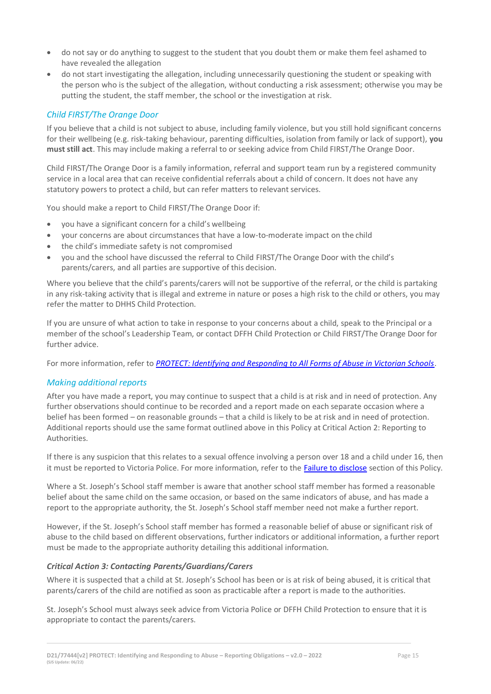- do not say or do anything to suggest to the student that you doubt them or make them feel ashamed to have revealed the allegation
- do not start investigating the allegation, including unnecessarily questioning the student or speaking with the person who is the subject of the allegation, without conducting a risk assessment; otherwise you may be putting the student, the staff member, the school or the investigation at risk.

# *Child FIRST/The Orange Door*

If you believe that a child is not subject to abuse, including family violence, but you still hold significant concerns for their wellbeing (e.g. risk-taking behaviour, parenting difficulties, isolation from family or lack of support), **you must still act**. This may include making a referral to or seeking advice from Child FIRST/The Orange Door.

Child FIRST/The Orange Door is a family information, referral and support team run by a registered community service in a local area that can receive confidential referrals about a child of concern. It does not have any statutory powers to protect a child, but can refer matters to relevant services.

You should make a report to Child FIRST/The Orange Door if:

- you have a significant concern for a child's wellbeing
- your concerns are about circumstances that have a low-to-moderate impact on the child
- the child's immediate safety is not compromised
- you and the school have discussed the referral to Child FIRST/The Orange Door with the child's parents/carers, and all parties are supportive of this decision.

Where you believe that the child's parents/carers will not be supportive of the referral, or the child is partaking in any risk-taking activity that is illegal and extreme in nature or poses a high risk to the child or others, you may refer the matter to DHHS Child Protection.

If you are unsure of what action to take in response to your concerns about a child, speak to the Principal or a member of the school's Leadership Team, or contact DFFH Child Protection or Child FIRST/The Orange Door for further advice.

For more information, refer to *[PROTECT: Identifying and Responding to All Forms of Abuse in Victorian Schools](http://www.education.vic.gov.au/Documents/about/programs/health/protect/ChildSafeStandard5_SchoolsGuide.pdf)*.

# *Making additional reports*

After you have made a report, you may continue to suspect that a child is at risk and in need of protection. Any further observations should continue to be recorded and a report made on each separate occasion where a belief has been formed – on reasonable grounds – that a child is likely to be at risk and in need of protection. Additional reports should use the same format outlined above in this Policy at Critical Action 2: Reporting to Authorities.

If there is any suspicion that this relates to a sexual offence involving a person over 18 and a child under 16, then it must be reported to Victoria Police. For more information, refer to the [Failure to disclose](#page-5-0) section of this Policy.

Where a St. Joseph's School staff member is aware that another school staff member has formed a reasonable belief about the same child on the same occasion, or based on the same indicators of abuse, and has made a report to the appropriate authority, the St. Joseph's School staff member need not make a further report.

However, if the St. Joseph's School staff member has formed a reasonable belief of abuse or significant risk of abuse to the child based on different observations, further indicators or additional information, a further report must be made to the appropriate authority detailing this additional information.

#### *Critical Action 3: Contacting Parents/Guardians/Carers*

Where it is suspected that a child at St. Joseph's School has been or is at risk of being abused, it is critical that parents/carers of the child are notified as soon as practicable after a report is made to the authorities.

St. Joseph's School must always seek advice from Victoria Police or DFFH Child Protection to ensure that it is appropriate to contact the parents/carers.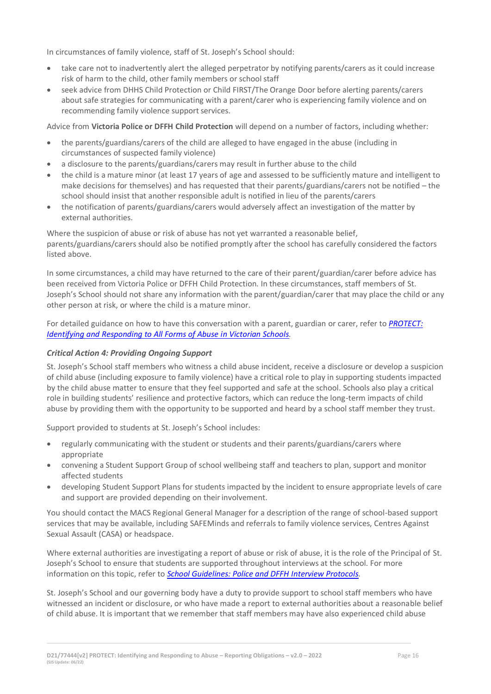In circumstances of family violence, staff of St. Joseph's School should:

- take care not to inadvertently alert the alleged perpetrator by notifying parents/carers as it could increase risk of harm to the child, other family members or school staff
- seek advice from DHHS Child Protection or Child FIRST/The Orange Door before alerting parents/carers about safe strategies for communicating with a parent/carer who is experiencing family violence and on recommending family violence support services.

Advice from **Victoria Police or DFFH Child Protection** will depend on a number of factors, including whether:

- the parents/guardians/carers of the child are alleged to have engaged in the abuse (including in circumstances of suspected family violence)
- a disclosure to the parents/guardians/carers may result in further abuse to the child
- the child is a mature minor (at least 17 years of age and assessed to be sufficiently mature and intelligent to make decisions for themselves) and has requested that their parents/guardians/carers not be notified – the school should insist that another responsible adult is notified in lieu of the parents/carers
- the notification of parents/guardians/carers would adversely affect an investigation of the matter by external authorities.

Where the suspicion of abuse or risk of abuse has not yet warranted a reasonable belief, parents/guardians/carers should also be notified promptly after the school has carefully considered the factors listed above.

In some circumstances, a child may have returned to the care of their parent/guardian/carer before advice has been received from Victoria Police or DFFH Child Protection. In these circumstances, staff members of St. Joseph's School should not share any information with the parent/guardian/carer that may place the child or any other person at risk, or where the child is a mature minor.

For detailed guidance on how to have this conversation with a parent, guardian or carer, refer to *[PROTECT:](http://www.education.vic.gov.au/Documents/about/programs/health/protect/ChildSafeStandard5_SchoolsGuide.pdf)  [Identifying and Responding to All Forms of Abuse in Victorian Schools.](http://www.education.vic.gov.au/Documents/about/programs/health/protect/ChildSafeStandard5_SchoolsGuide.pdf)*

#### *Critical Action 4: Providing Ongoing Support*

St. Joseph's School staff members who witness a child abuse incident, receive a disclosure or develop a suspicion of child abuse (including exposure to family violence) have a critical role to play in supporting students impacted by the child abuse matter to ensure that they feel supported and safe at the school. Schools also play a critical role in building students' resilience and protective factors, which can reduce the long-term impacts of child abuse by providing them with the opportunity to be supported and heard by a school staff member they trust.

Support provided to students at St. Joseph's School includes:

- regularly communicating with the student or students and their parents/guardians/carers where appropriate
- convening a Student Support Group of school wellbeing staff and teachers to plan, support and monitor affected students
- developing Student Support Plans for students impacted by the incident to ensure appropriate levels of care and support are provided depending on their involvement.

You should contact the MACS Regional General Manager for a description of the range of school-based support services that may be available, including SAFEMinds and referrals to family violence services, Centres Against Sexual Assault (CASA) or headspace.

Where external authorities are investigating a report of abuse or risk of abuse, it is the role of the Principal of St. Joseph's School to ensure that students are supported throughout interviews at the school. For more information on this topic, refer to *[School Guidelines: Police and DFFH](https://www.cem.edu.au/About-Us/Policies/Police-and-DHHS-Interview-Protocols.aspx) Interview Protocol[s.](https://www.cem.edu.au/About-Us/Policies/Police-and-DHHS-Interview-Protocols.aspx)*

St. Joseph's School and our governing body have a duty to provide support to school staff members who have witnessed an incident or disclosure, or who have made a report to external authorities about a reasonable belief of child abuse. It is important that we remember that staff members may have also experienced child abuse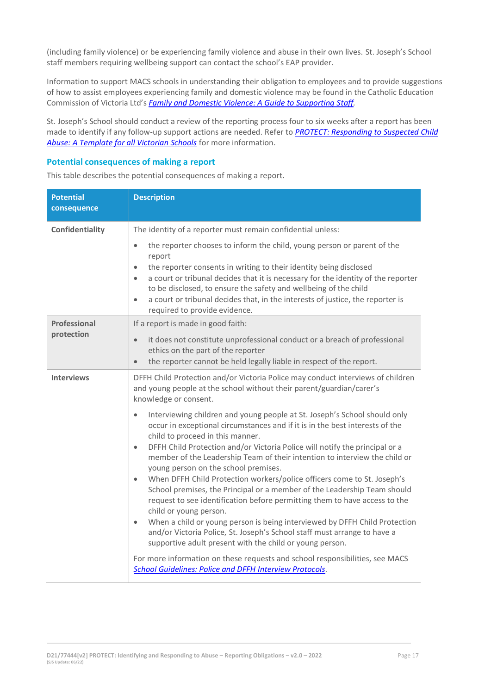(including family violence) or be experiencing family violence and abuse in their own lives. St. Joseph's School staff members requiring wellbeing support can contact the school's EAP provider.

Information to support MACS schools in understanding their obligation to employees and to provide suggestions of how to assist employees experiencing family and domestic violence may be found in the Catholic Education Commission of Victoria Ltd's *[Family and Domestic Violence: A Guide to Supporting Staff](https://www.cecv.catholic.edu.au/Media-Files/IR/Policies-Guidelines/Family-Domestic-Violence/Guide-to-family-and-domestic-violence-(1).aspx)[.](http://www.cecv.catholic.edu.au/Media-Files/IR/Policies-Guidelines/Guide-to-family-and-domestic-violence.aspx)*

St. Joseph's School should conduct a review of the reporting process four to six weeks after a report has been made to identify if any follow-up support actions are needed. Refer to *[PROTECT: Responding to Suspected Child](http://www.education.vic.gov.au/Documents/about/programs/health/protect/PROTECT_Responding_TemplateSchools.pdf)  [Abuse: A Template for all Victorian Schools](http://www.education.vic.gov.au/Documents/about/programs/health/protect/PROTECT_Responding_TemplateSchools.pdf)* for more information.

# **Potential consequences of making a report**

This table describes the potential consequences of making a report.

| <b>Potential</b><br>consequence | <b>Description</b>                                                                                                                                                                                                                                                                                                                                                                                                                                                                                                                                                                                                                                                                                                                                                                                                                                                                                                                                                                                                                                                                            |
|---------------------------------|-----------------------------------------------------------------------------------------------------------------------------------------------------------------------------------------------------------------------------------------------------------------------------------------------------------------------------------------------------------------------------------------------------------------------------------------------------------------------------------------------------------------------------------------------------------------------------------------------------------------------------------------------------------------------------------------------------------------------------------------------------------------------------------------------------------------------------------------------------------------------------------------------------------------------------------------------------------------------------------------------------------------------------------------------------------------------------------------------|
| Confidentiality                 | The identity of a reporter must remain confidential unless:                                                                                                                                                                                                                                                                                                                                                                                                                                                                                                                                                                                                                                                                                                                                                                                                                                                                                                                                                                                                                                   |
|                                 | the reporter chooses to inform the child, young person or parent of the<br>$\bullet$<br>report<br>the reporter consents in writing to their identity being disclosed<br>$\bullet$<br>a court or tribunal decides that it is necessary for the identity of the reporter<br>$\bullet$<br>to be disclosed, to ensure the safety and wellbeing of the child<br>a court or tribunal decides that, in the interests of justice, the reporter is<br>$\bullet$<br>required to provide evidence.                                                                                                                                                                                                                                                                                                                                                                                                                                                                                                                                                                                                       |
| Professional                    | If a report is made in good faith:                                                                                                                                                                                                                                                                                                                                                                                                                                                                                                                                                                                                                                                                                                                                                                                                                                                                                                                                                                                                                                                            |
| protection                      | it does not constitute unprofessional conduct or a breach of professional<br>$\bullet$<br>ethics on the part of the reporter<br>the reporter cannot be held legally liable in respect of the report.<br>$\bullet$                                                                                                                                                                                                                                                                                                                                                                                                                                                                                                                                                                                                                                                                                                                                                                                                                                                                             |
| <b>Interviews</b>               | DFFH Child Protection and/or Victoria Police may conduct interviews of children<br>and young people at the school without their parent/guardian/carer's<br>knowledge or consent.                                                                                                                                                                                                                                                                                                                                                                                                                                                                                                                                                                                                                                                                                                                                                                                                                                                                                                              |
|                                 | Interviewing children and young people at St. Joseph's School should only<br>$\bullet$<br>occur in exceptional circumstances and if it is in the best interests of the<br>child to proceed in this manner.<br>DFFH Child Protection and/or Victoria Police will notify the principal or a<br>$\bullet$<br>member of the Leadership Team of their intention to interview the child or<br>young person on the school premises.<br>When DFFH Child Protection workers/police officers come to St. Joseph's<br>$\bullet$<br>School premises, the Principal or a member of the Leadership Team should<br>request to see identification before permitting them to have access to the<br>child or young person.<br>When a child or young person is being interviewed by DFFH Child Protection<br>$\bullet$<br>and/or Victoria Police, St. Joseph's School staff must arrange to have a<br>supportive adult present with the child or young person.<br>For more information on these requests and school responsibilities, see MACS<br><b>School Guidelines: Police and DFFH Interview Protocols.</b> |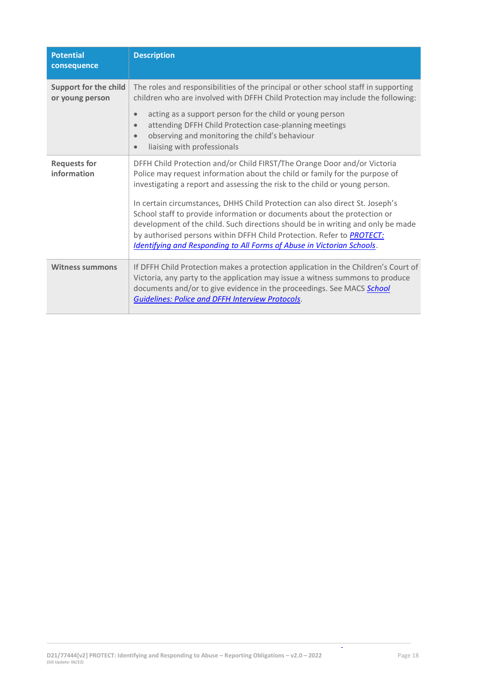| <b>Potential</b><br>consequence          | <b>Description</b>                                                                                                                                                                                                                                                                                                                                                                                                                                                                                                                                                                                                                                     |
|------------------------------------------|--------------------------------------------------------------------------------------------------------------------------------------------------------------------------------------------------------------------------------------------------------------------------------------------------------------------------------------------------------------------------------------------------------------------------------------------------------------------------------------------------------------------------------------------------------------------------------------------------------------------------------------------------------|
| Support for the child<br>or young person | The roles and responsibilities of the principal or other school staff in supporting<br>children who are involved with DFFH Child Protection may include the following:                                                                                                                                                                                                                                                                                                                                                                                                                                                                                 |
|                                          | acting as a support person for the child or young person<br>$\bullet$<br>attending DFFH Child Protection case-planning meetings<br>$\bullet$<br>observing and monitoring the child's behaviour<br>$\bullet$<br>liaising with professionals                                                                                                                                                                                                                                                                                                                                                                                                             |
| <b>Requests for</b><br>information       | DFFH Child Protection and/or Child FIRST/The Orange Door and/or Victoria<br>Police may request information about the child or family for the purpose of<br>investigating a report and assessing the risk to the child or young person.<br>In certain circumstances, DHHS Child Protection can also direct St. Joseph's<br>School staff to provide information or documents about the protection or<br>development of the child. Such directions should be in writing and only be made<br>by authorised persons within DFFH Child Protection. Refer to <b>PROTECT:</b><br><b>Identifying and Responding to All Forms of Abuse in Victorian Schools.</b> |
| <b>Witness summons</b>                   | If DFFH Child Protection makes a protection application in the Children's Court of<br>Victoria, any party to the application may issue a witness summons to produce<br>documents and/or to give evidence in the proceedings. See MACS School<br><b>Guidelines: Police and DFFH Interview Protocols.</b>                                                                                                                                                                                                                                                                                                                                                |

 $\overline{\phantom{a}}$